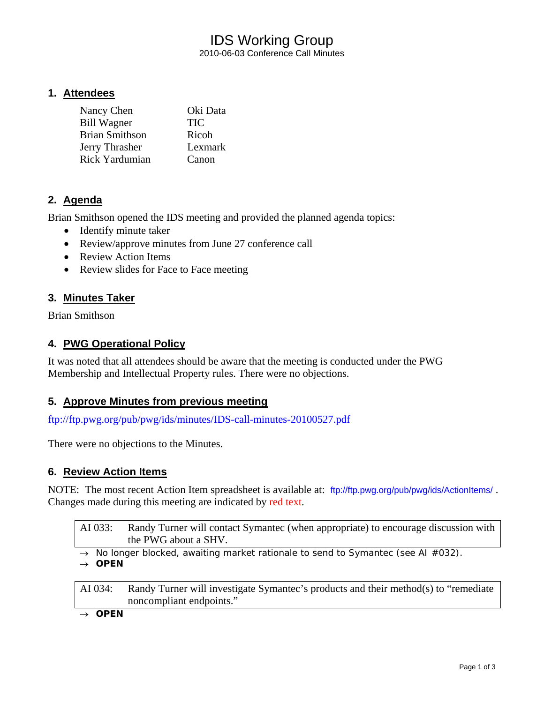## IDS Working Group 2010-06-03 Conference Call Minutes

### **1. Attendees**

| Nancy Chen            | Oki Data   |
|-----------------------|------------|
| <b>Bill Wagner</b>    | <b>TIC</b> |
| <b>Brian Smithson</b> | Ricoh      |
| Jerry Thrasher        | Lexmark    |
| Rick Yardumian        | Canon      |

### **2. Agenda**

Brian Smithson opened the IDS meeting and provided the planned agenda topics:

- Identify minute taker
- Review/approve minutes from June 27 conference call
- Review Action Items
- Review slides for Face to Face meeting

### **3. Minutes Taker**

Brian Smithson

### **4. PWG Operational Policy**

It was noted that all attendees should be aware that the meeting is conducted under the PWG Membership and Intellectual Property rules. There were no objections.

### **5. Approve Minutes from previous meeting**

<ftp://ftp.pwg.org/pub/pwg/ids/minutes/IDS-call-minutes-20100527.pdf>

There were no objections to the Minutes.

### **6. Review Action Items**

NOTE: The most recent Action Item spreadsheet is available at: <ftp://ftp.pwg.org/pub/pwg/ids/ActionItems/> . Changes made during this meeting are indicated by red text.

AI 033: Randy Turner will contact Symantec (when appropriate) to encourage discussion with the PWG about a SHV.

→ *No longer blocked, awaiting market rationale to send to Symantec (see AI #032).*

→ *OPEN* 

AI 034: Randy Turner will investigate Symantec's products and their method(s) to "remediate noncompliant endpoints."

→ *OPEN*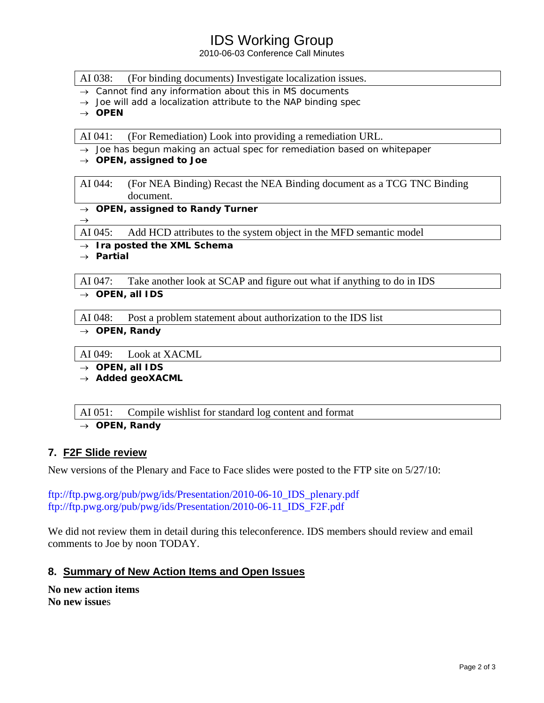## IDS Working Group

2010-06-03 Conference Call Minutes

#### AI 038: (For binding documents) Investigate localization issues.

- → *Cannot find any information about this in MS documents*
- → *Joe will add a localization attribute to the NAP binding spec*
- → *OPEN*

AI 041: (For Remediation) Look into providing a remediation URL.

- → *Joe has begun making an actual spec for remediation based on whitepaper*
- → *OPEN, assigned to Joe*
- AI 044: (For NEA Binding) Recast the NEA Binding document as a TCG TNC Binding document.
- → *OPEN, assigned to Randy Turner*

AI 045: Add HCD attributes to the system object in the MFD semantic model

→ *Ira posted the XML Schema* 

→ *Partial* 

 $\rightarrow$ 

AI 047: Take another look at SCAP and figure out what if anything to do in IDS

→ *OPEN, all IDS* 

AI 048: Post a problem statement about authorization to the IDS list

- → *OPEN, Randy*
- AI 049: Look at XACML
- → *OPEN, all IDS*
- → *Added geoXACML*

AI 051: Compile wishlist for standard log content and format

→ *OPEN, Randy* 

### **7. F2F Slide review**

New versions of the Plenary and Face to Face slides were posted to the FTP site on 5/27/10:

[ftp://ftp.pwg.org/pub/pwg/ids/Presentation/2010-06-10\\_IDS\\_plenary.pdf](ftp://ftp.pwg.org/pub/pwg/ids/Presentation/2010-06-10_IDS_plenary.pdf) [ftp://ftp.pwg.org/pub/pwg/ids/Presentation/2010-06-11\\_IDS\\_F2F.pdf](ftp://ftp.pwg.org/pub/pwg/ids/Presentation/2010-06-11_IDS_F2F.pdf)

We did not review them in detail during this teleconference. IDS members should review and email comments to Joe by noon TODAY.

### **8. Summary of New Action Items and Open Issues**

**No new action items No new issue**s